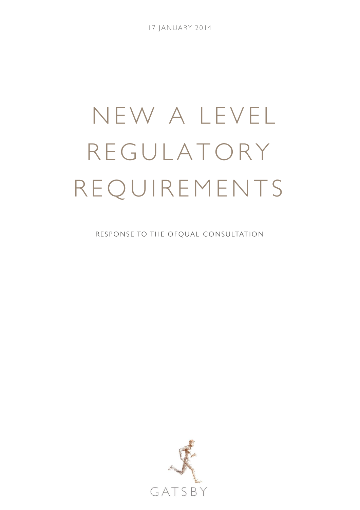**17 JANUARY 2014** 

# NEW A LEVEL REGULATORY REQUIREMENTS

RESPONSE TO THE OFQUAL CONSULTATION

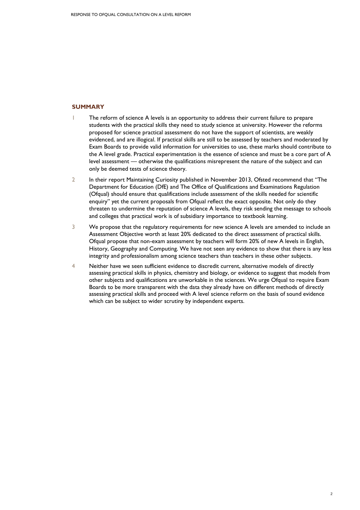## **SUMMARY**

- The reform of science A levels is an opportunity to address their current failure to prepare students with the practical skills they need to study science at university. However the reforms proposed for science practical assessment do not have the support of scientists, are weakly evidenced, and are illogical. If practical skills are still to be assessed by teachers and moderated by Exam Boards to provide valid information for universities to use, these marks should contribute to the A level grade. Practical experimentation is the essence of science and must be a core part of A level assessment — otherwise the qualifications misrepresent the nature of the subject and can only be deemed tests of science theory.
- 2 In their report Maintaining Curiosity published in November 2013, Ofsted recommend that "The Department for Education (DfE) and The Office of Qualifications and Examinations Regulation (Ofqual) should ensure that qualifications include assessment of the skills needed for scientific enquiry" yet the current proposals from Ofqual reflect the exact opposite. Not only do they threaten to undermine the reputation of science A levels, they risk sending the message to schools and colleges that practical work is of subsidiary importance to textbook learning.
- 3 We propose that the regulatory requirements for new science A levels are amended to include an Assessment Objective worth at least 20% dedicated to the direct assessment of practical skills. Ofqual propose that non-exam assessment by teachers will form 20% of new A levels in English, History, Geography and Computing. We have not seen any evidence to show that there is any less integrity and professionalism among science teachers than teachers in these other subjects.
- 4 Neither have we seen sufficient evidence to discredit current, alternative models of directly assessing practical skills in physics, chemistry and biology, or evidence to suggest that models from other subjects and qualifications are unworkable in the sciences. We urge Ofqual to require Exam Boards to be more transparent with the data they already have on different methods of directly assessing practical skills and proceed with A level science reform on the basis of sound evidence which can be subject to wider scrutiny by independent experts.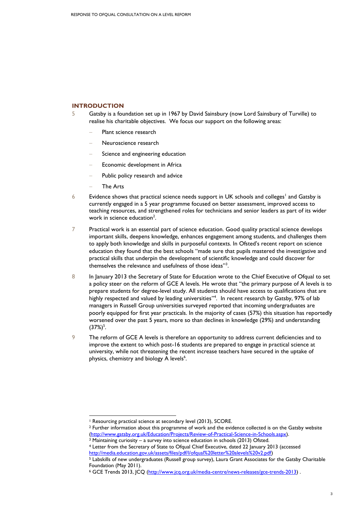# **INTRODUCTION**

- 5 Gatsby is a foundation set up in 1967 by David Sainsbury (now Lord Sainsbury of Turville) to realise his charitable objectives. We focus our support on the following areas:
	- Plant science research
	- Neuroscience research
	- Science and engineering education
	- Economic development in Africa
	- Public policy research and advice
	- The Arts

-

- $6$  Evidence shows that practical science needs support in UK schools and colleges<sup>1</sup> and Gatsby is currently engaged in a 5 year programme focused on better assessment, improved access to teaching resources, and strengthened roles for technicians and senior leaders as part of its wider work in science education<sup>2</sup>.
- 7 Practical work is an essential part of science education. Good quality practical science develops important skills, deepens knowledge, enhances engagement among students, and challenges them to apply both knowledge and skills in purposeful contexts. In Ofsted's recent report on science education they found that the best schools "made sure that pupils mastered the investigative and practical skills that underpin the development of scientific knowledge and could discover for themselves the relevance and usefulness of those ideas"<sup>3</sup>.
- 8 In January 2013 the Secretary of State for Education wrote to the Chief Executive of Ofqual to set a policy steer on the reform of GCE A levels. He wrote that "the primary purpose of A levels is to prepare students for degree-level study. All students should have access to qualifications that are highly respected and valued by leading universities"<sup>4</sup>. In recent research by Gatsby, 97% of lab managers in Russell Group universities surveyed reported that incoming undergraduates are poorly equipped for first year practicals. In the majority of cases (57%) this situation has reportedly worsened over the past 5 years, more so than declines in knowledge (29%) and understanding  $(37\%)^5$ .
- 9 The reform of GCE A levels is therefore an opportunity to address current deficiencies and to improve the extent to which post-16 students are prepared to engage in practical science at university, while not threatening the recent increase teachers have secured in the uptake of physics, chemistry and biology A levels<sup>6</sup>.

<sup>1</sup> Resourcing practical science at secondary level (2013), SCORE.

<sup>2</sup> Further information about this programme of work and the evidence collected is on the Gatsby website [\(http://www.gatsby.org.uk/Education/Projects/Review-of-Practical-Science-in-Schools.aspx\)](http://www.gatsby.org.uk/Education/Projects/Review-of-Practical-Science-in-Schools.aspx).

<sup>3</sup> Maintaining curiosity – a survey into science education in schools (2013) Ofsted.

<sup>4</sup> Letter from the Secretary of State to Ofqual Chief Executive, dated 22 January 2013 (accessed [http://media.education.gov.uk/assets/files/pdf/l/ofqual%20letter%20alevels%20v2.pdf\)](http://media.education.gov.uk/assets/files/pdf/l/ofqual%20letter%20alevels%20v2.pdf)

<sup>5</sup> Labskills of new undergraduates (Russell group survey), Laura Grant Associates for the Gatsby Charitable Foundation (May 2011).

<sup>6</sup> GCE Trends 2013, JCQ [\(http://www.jcq.org.uk/media-centre/news-releases/gce-trends-2013\)](http://www.jcq.org.uk/media-centre/news-releases/gce-trends-2013) .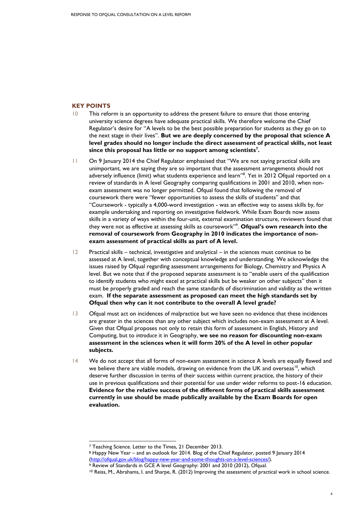# **KEY POINTS**

- 10 This reform is an opportunity to address the present failure to ensure that those entering university science degrees have adequate practical skills. We therefore welcome the Chief Regulator's desire for "A levels to be the best possible preparation for students as they go on to the next stage in their lives". **But we are deeply concerned by the proposal that science A level grades should no longer include the direct assessment of practical skills, not least since this proposal has little or no support among scientists<sup>7</sup> .**
- 11 On 9 January 2014 the Chief Regulator emphasised that "We are not saying practical skills are unimportant, we are saying they are so important that the assessment arrangements should not adversely influence (limit) what students experience and learn"<sup>8</sup>. Yet in 2012 Ofqual reported on a review of standards in A level Geography comparing qualifications in 2001 and 2010, when nonexam assessment was no longer permitted. Ofqual found that following the removal of coursework there were "fewer opportunities to assess the skills of students" and that "Coursework - typically a 4,000-word investigation - was an effective way to assess skills by, for example undertaking and reporting on investigative fieldwork. While Exam Boards now assess skills in a variety of ways within the four-unit, external examination structure, reviewers found that they were not as effective at assessing skills as coursework" 9 . **Ofqual's own research into the removal of coursework from Geography in 2010 indicates the importance of nonexam assessment of practical skills as part of A level.**
- 12 Practical skills technical, investigative and analytical in the sciences must continue to be assessed at A level, together with conceptual knowledge and understanding. We acknowledge the issues raised by Ofqual regarding assessment arrangements for Biology, Chemistry and Physics A level. But we note that if the proposed separate assessment is to "enable users of the qualification to identify students who might excel at practical skills but be weaker on other subjects" then it must be properly graded and reach the same standards of discrimination and validity as the written exam. **If the separate assessment as proposed can meet the high standards set by Ofqual then why can it not contribute to the overall A level grade?**
- 13 Ofqual must act on incidences of malpractice but we have seen no evidence that these incidences are greater in the sciences than any other subject which includes non-exam assessment at A level. Given that Ofqual proposes not only to retain this form of assessment in English, History and Computing, but to *introduce* it in Geography, **we see no reason for discounting non-exam assessment in the sciences when it will form 20% of the A level in other popular subjects.**
- 14 We do not accept that all forms of non-exam assessment in science A levels are equally flawed and we believe there are viable models, drawing on evidence from the UK and overseas<sup>10</sup>, which deserve further discussion in terms of their success within current practice, the history of their use in previous qualifications and their potential for use under wider reforms to post-16 education. **Evidence for the relative success of the different forms of practical skills assessment currently in use should be made publically available by the Exam Boards for open evaluation.**

1

<sup>7</sup> Teaching Science. Letter to the Times, 21 December 2013.

<sup>8</sup> Happy New Year – and an outlook for 2014. Blog of the Chief Regulator, posted 9 January 2014 [\(http://ofqual.gov.uk/blog/happy-new-year-and-some-thoughts-on-a-level-sciences/\)](http://ofqual.gov.uk/blog/happy-new-year-and-some-thoughts-on-a-level-sciences/).

<sup>9</sup> Review of Standards in GCE A level Geography: 2001 and 2010 (2012), Ofqual.

<sup>10</sup> Reiss, M., Abrahams, I. and Sharpe, R. (2012) Improving the assessment of practical work in school science.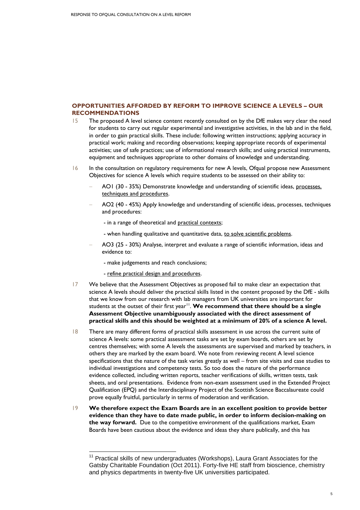## **OPPORTUNITIES AFFORDED BY REFORM TO IMPROVE SCIENCE A LEVELS – OUR RECOMMENDATIONS**

- 15 The proposed A level science content recently consulted on by the DfE makes very clear the need for students to carry out regular experimental and investigative activities, in the lab and in the field, in order to gain practical skills. These include: following written instructions; applying accuracy in practical work; making and recording observations; keeping appropriate records of experimental activities; use of safe practices; use of informational research skills; and using practical instruments, equipment and techniques appropriate to other domains of knowledge and understanding.
- 16 In the consultation on regulatory requirements for new A levels, Ofqual propose new Assessment Objectives for science A levels which require students to be assessed on their ability to:
	- AO1 (30 35%) Demonstrate knowledge and understanding of scientific ideas, processes, techniques and procedures.
	- AO2 (40 45%) Apply knowledge and understanding of scientific ideas, processes, techniques and procedures:
		- in a range of theoretical and practical contexts;
		- when handling qualitative and quantitative data, to solve scientific problems.
	- AO3 (25 30%) Analyse, interpret and evaluate a range of scientific information, ideas and evidence to:
		- make judgements and reach conclusions;
		- refine practical design and procedures.

1

- 17 We believe that the Assessment Objectives as proposed fail to make clear an expectation that science A levels should deliver the practical skills listed in the content proposed by the DfE - skills that we know from our research with lab managers from UK universities are important for students at the outset of their first year<sup>11</sup>. **We recommend that there should be a single Assessment Objective unambiguously associated with the direct assessment of practical skills and this should be weighted at a minimum of 20% of a science A level.**
- 18 There are many different forms of practical skills assessment in use across the current suite of science A levels: some practical assessment tasks are set by exam boards, others are set by centres themselves; with some A levels the assessments are supervised and marked by teachers, in others they are marked by the exam board. We note from reviewing recent A level science specifications that the nature of the task varies greatly as well – from site visits and case studies to individual investigations and competency tests. So too does the nature of the performance evidence collected, including written reports, teacher verifications of skills, written tests, task sheets, and oral presentations. Evidence from non-exam assessment used in the Extended Project Qualification (EPQ) and the Interdisciplinary Project of the Scottish Science Baccalaureate could prove equally fruitful, particularly in terms of moderation and verification.
- 19 **We therefore expect the Exam Boards are in an excellent position to provide better evidence than they have to date made public, in order to inform decision-making on the way forward.** Due to the competitive environment of the qualifications market, Exam Boards have been cautious about the evidence and ideas they share publically, and this has

 $11$  Practical skills of new undergraduates (Workshops), Laura Grant Associates for the Gatsby Charitable Foundation (Oct 2011). Forty-five HE staff from bioscience, chemistry and physics departments in twenty-five UK universities participated.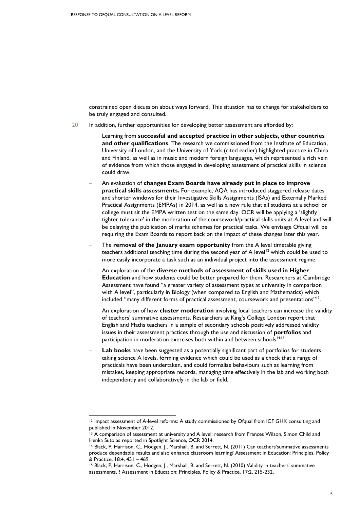constrained open discussion about ways forward. This situation has to change for stakeholders to be truly engaged and consulted.

- 20 In addition, further opportunities for developing better assessment are afforded by:
	- Learning from **successful and accepted practice in other subjects, other countries and other qualifications**. The research we commissioned from the Institute of Education, University of London, and the University of York (cited earlier) highlighted practice in China and Finland, as well as in music and modern foreign languages, which represented a rich vein of evidence from which those engaged in developing assessment of practical skills in science could draw.
	- An evaluation of **changes Exam Boards have already put in place to improve practical skills assessments.** For example, AQA has introduced staggered release dates and shorter windows for their Investigative Skills Assignments (ISAs) and Externally Marked Practical Assignments (EMPAs) in 2014, as well as a new rule that all students at a school or college must sit the EMPA written test on the same day. OCR will be applying a 'slightly tighter tolerance' in the moderation of the coursework/practical skills units at A level and will be delaying the publication of marks schemes for practical tasks. We envisage Ofqual will be requiring the Exam Boards to report back on the impact of these changes later this year.
	- The **removal of the January exam opportunity** from the A level timetable giving teachers additional teaching time during the second year of A level<sup>12</sup> which could be used to more easily incorporate a task such as an individual project into the assessment regime.
	- An exploration of the **diverse methods of assessment of skills used in Higher Education** and how students could be better prepared for them. Researchers at Cambridge Assessment have found "a greater variety of assessment types at university in comparison with A level", particularly in Biology (when compared to English and Mathematics) which included "many different forms of practical assessment, coursework and presentations"<sup>13</sup>.
	- An exploration of how **cluster moderation** involving local teachers can increase the validity of teachers' summative assessments. Researchers at King's College London report that English and Maths teachers in a sample of secondary schools positively addressed validity issues in their assessment practices through the use and discussion of **portfolios** and participation in moderation exercises both within and between schools<sup>14,15</sup>.
	- **Lab books** have been suggested as a potentially significant part of portfolios for students taking science A levels, forming evidence which could be used as a check that a range of practicals have been undertaken, and could formalise behaviours such as learning from mistakes, keeping appropriate records, managing time effectively in the lab and working both independently and collaboratively in the lab or field.

-

<sup>12</sup> Impact assessment of A-level reforms: A study commissioned by Ofqual from ICF GHK consulting and published in November 2012.

<sup>13</sup> A comparison of assessment at university and A level: research from Frances Wilson, Simon Child and Irenka Suto as reported in Spotlight Science, OCR 2014.

<sup>14</sup> Black, P, Harrison, C., Hodgen, J., Marshall, B. and Serrett, N. (2011) Can teachers'summative assessments produce dependable results and also enhance classroom learning? Assessment in Education: Principles, Policy & Practice, 18:4, 451 – 469.

<sup>&</sup>lt;sup>15</sup> Black, P, Harrison, C., Hodgen, J., Marshall, B. and Serrett, N. (2010) Validity in teachers' summative assessments, ? Assessment in Education: Principles, Policy & Practice, 17:2, 215-232.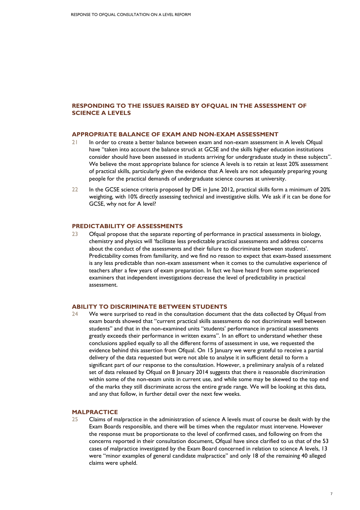# **RESPONDING TO THE ISSUES RAISED BY OFQUAL IN THE ASSESSMENT OF SCIENCE A LEVELS**

#### **APPROPRIATE BALANCE OF EXAM AND NON-EXAM ASSESSMENT**

- 21 In order to create a better balance between exam and non-exam assessment in A levels Ofqual have "taken into account the balance struck at GCSE and the skills higher education institutions consider should have been assessed in students arriving for undergraduate study in these subjects". We believe the most appropriate balance for science A levels is to retain at least 20% assessment of practical skills, particularly given the evidence that A levels are not adequately preparing young people for the practical demands of undergraduate science courses at university.
- 22 In the GCSE science criteria proposed by DfE in June 2012, practical skills form a minimum of 20% weighting, with 10% directly assessing technical and investigative skills. We ask if it can be done for GCSE, why not for A level?

## **PREDICTABILITY OF ASSESSMENTS**

23 Ofqual propose that the separate reporting of performance in practical assessments in biology, chemistry and physics will 'facilitate less predictable practical assessments and address concerns about the conduct of the assessments and their failure to discriminate between students'. Predictability comes from familiarity, and we find no reason to expect that exam-based assessment is any less predictable than non-exam assessment when it comes to the cumulative experience of teachers after a few years of exam preparation. In fact we have heard from some experienced examiners that independent investigations decrease the level of predictability in practical assessment.

### **ABILITY TO DISCRIMINATE BETWEEN STUDENTS**

24 We were surprised to read in the consultation document that the data collected by Ofqual from exam boards showed that "current practical skills assessments do not discriminate well between students" and that in the non-examined units "students' performance in practical assessments greatly exceeds their performance in written exams". In an effort to understand whether these conclusions applied equally to all the different forms of assessment in use, we requested the evidence behind this assertion from Ofqual. On 15 January we were grateful to receive a partial delivery of the data requested but were not able to analyse it in sufficient detail to form a significant part of our response to the consultation. However, a preliminary analysis of a related set of data released by Ofqual on 8 January 2014 suggests that there *is* reasonable discrimination within some of the non-exam units in current use, and while some may be skewed to the top end of the marks they still discriminate across the entire grade range. We will be looking at this data, and any that follow, in further detail over the next few weeks.

# **MALPRACTICE**

25 Claims of malpractice in the administration of science A levels must of course be dealt with by the Exam Boards responsible, and there will be times when the regulator must intervene. However the response must be proportionate to the level of confirmed cases, and following on from the concerns reported in their consultation document, Ofqual have since clarified to us that of the 53 cases of malpractice investigated by the Exam Board concerned in relation to science A levels, 13 were "minor examples of general candidate malpractice" and only 18 of the remaining 40 alleged claims were upheld.